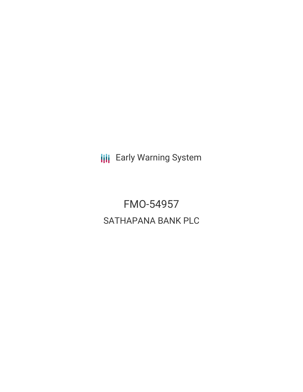**III** Early Warning System

FMO-54957 SATHAPANA BANK PLC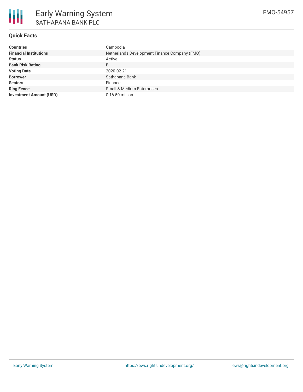

### **Quick Facts**

| <b>Countries</b>               | Cambodia                                      |  |  |  |
|--------------------------------|-----------------------------------------------|--|--|--|
| <b>Financial Institutions</b>  | Netherlands Development Finance Company (FMO) |  |  |  |
| <b>Status</b>                  | Active                                        |  |  |  |
| <b>Bank Risk Rating</b>        | B                                             |  |  |  |
| <b>Voting Date</b>             | 2020-02-21                                    |  |  |  |
| <b>Borrower</b>                | Sathapana Bank                                |  |  |  |
| <b>Sectors</b>                 | Finance                                       |  |  |  |
| <b>Ring Fence</b>              | Small & Medium Enterprises                    |  |  |  |
| <b>Investment Amount (USD)</b> | \$16.50 million                               |  |  |  |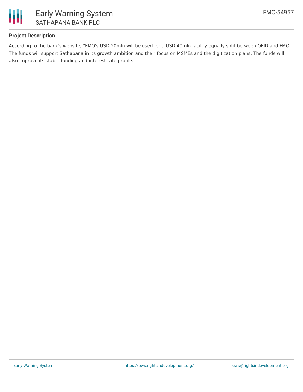

### **Project Description**

According to the bank's website, "FMO's USD 20mln will be used for a USD 40mln facility equally split between OFID and FMO. The funds will support Sathapana in its growth ambition and their focus on MSMEs and the digitization plans. The funds will also improve its stable funding and interest rate profile."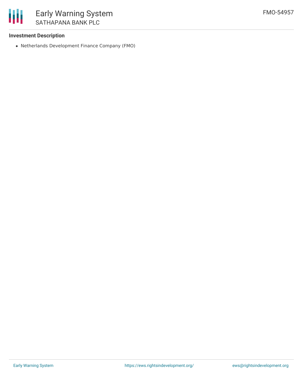

### **Investment Description**

Netherlands Development Finance Company (FMO)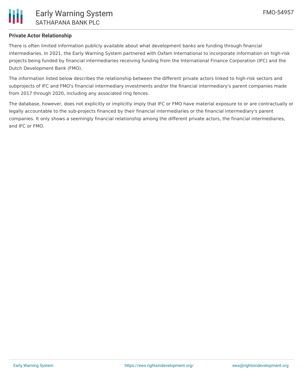

# **Private Actor Relationship**

There is often limited information publicly available about what development banks are funding through financial intermediaries. In 2021, the Early Warning System partnered with Oxfam International to incorporate information on high-risk projects being funded by financial intermediaries receiving funding from the International Finance Corporation (IFC) and the Dutch Development Bank (FMO).

The information listed below describes the relationship between the different private actors linked to high-risk sectors and subprojects of IFC and FMO's financial intermediary investments and/or the financial intermediary's parent companies made from 2017 through 2020, including any associated ring fences.

The database, however, does not explicitly or implicitly imply that IFC or FMO have material exposure to or are contractually or legally accountable to the sub-projects financed by their financial intermediaries or the financial intermediary's parent companies. It only shows a seemingly financial relationship among the different private actors, the financial intermediaries, and IFC or FMO.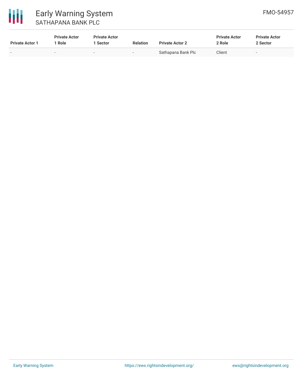

## 冊 Early Warning System SATHAPANA BANK PLC

| <b>Private Actor 1</b>   | <b>Private Actor</b><br><sup>1</sup> Role | <b>Private Actor</b><br><b>Sector</b> | <b>Relation</b>          | <b>Private Actor 2</b> | <b>Private Actor</b><br>2 Role | <b>Private Actor</b><br>2 Sector |
|--------------------------|-------------------------------------------|---------------------------------------|--------------------------|------------------------|--------------------------------|----------------------------------|
| $\overline{\phantom{0}}$ |                                           | $\overline{\phantom{0}}$              | $\overline{\phantom{a}}$ | Sathapana Bank Plc     | Client                         | -                                |